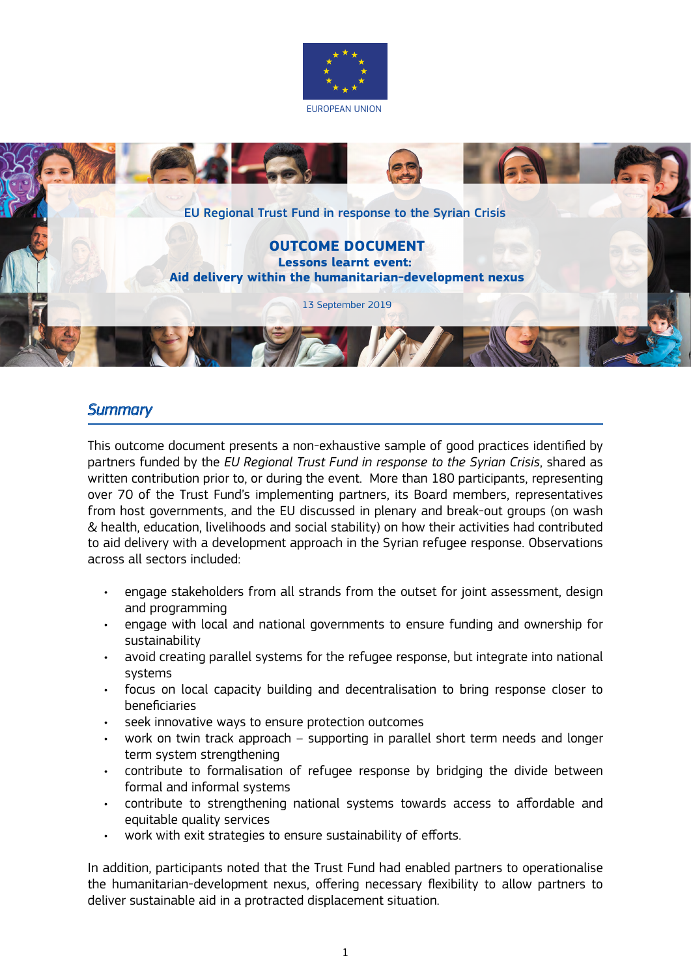



# *Summary*

This outcome document presents a non-exhaustive sample of good practices identified by partners funded by the *EU Regional Trust Fund in response to the Syrian Crisis*, shared as written contribution prior to, or during the event. More than 180 participants, representing over 70 of the Trust Fund's implementing partners, its Board members, representatives from host governments, and the EU discussed in plenary and break-out groups (on wash & health, education, livelihoods and social stability) on how their activities had contributed to aid delivery with a development approach in the Syrian refugee response. Observations across all sectors included:

- engage stakeholders from all strands from the outset for joint assessment, design and programming
- engage with local and national governments to ensure funding and ownership for sustainability
- avoid creating parallel systems for the refugee response, but integrate into national systems
- focus on local capacity building and decentralisation to bring response closer to beneficiaries
- seek innovative ways to ensure protection outcomes
- work on twin track approach supporting in parallel short term needs and longer term system strengthening
- contribute to formalisation of refugee response by bridging the divide between formal and informal systems
- contribute to strengthening national systems towards access to affordable and equitable quality services
- work with exit strategies to ensure sustainability of efforts.

In addition, participants noted that the Trust Fund had enabled partners to operationalise the humanitarian-development nexus, offering necessary flexibility to allow partners to deliver sustainable aid in a protracted displacement situation.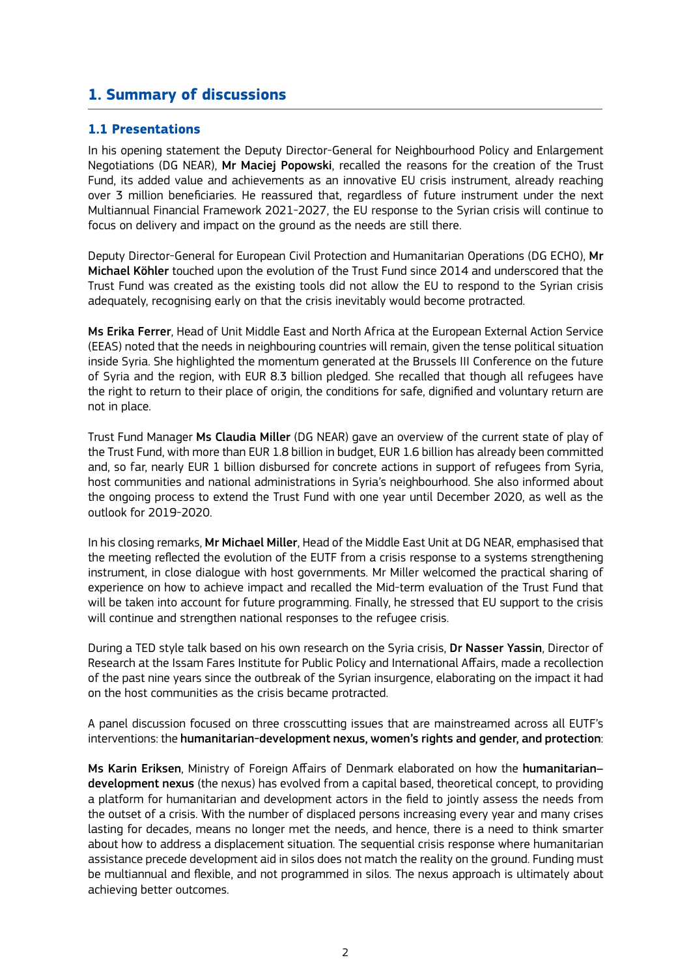## **1. Summary of discussions**

### **1.1 Presentations**

In his opening statement the Deputy Director-General for Neighbourhood Policy and Enlargement Negotiations (DG NEAR), Mr Maciej Popowski, recalled the reasons for the creation of the Trust Fund, its added value and achievements as an innovative EU crisis instrument, already reaching over 3 million beneficiaries. He reassured that, regardless of future instrument under the next Multiannual Financial Framework 2021-2027, the EU response to the Syrian crisis will continue to focus on delivery and impact on the ground as the needs are still there.

Deputy Director-General for European Civil Protection and Humanitarian Operations (DG ECHO), Mr Michael Köhler touched upon the evolution of the Trust Fund since 2014 and underscored that the Trust Fund was created as the existing tools did not allow the EU to respond to the Syrian crisis adequately, recognising early on that the crisis inevitably would become protracted.

Ms Erika Ferrer, Head of Unit Middle East and North Africa at the European External Action Service (EEAS) noted that the needs in neighbouring countries will remain, given the tense political situation inside Syria. She highlighted the momentum generated at the Brussels III Conference on the future of Syria and the region, with EUR 8.3 billion pledged. She recalled that though all refugees have the right to return to their place of origin, the conditions for safe, dignified and voluntary return are not in place.

Trust Fund Manager Ms Claudia Miller (DG NEAR) gave an overview of the current state of play of the Trust Fund, with more than EUR 1.8 billion in budget, EUR 1.6 billion has already been committed and, so far, nearly EUR 1 billion disbursed for concrete actions in support of refugees from Syria, host communities and national administrations in Syria's neighbourhood. She also informed about the ongoing process to extend the Trust Fund with one year until December 2020, as well as the outlook for 2019-2020.

In his closing remarks, Mr Michael Miller, Head of the Middle East Unit at DG NEAR, emphasised that the meeting reflected the evolution of the EUTF from a crisis response to a systems strengthening instrument, in close dialogue with host governments. Mr Miller welcomed the practical sharing of experience on how to achieve impact and recalled the Mid-term evaluation of the Trust Fund that will be taken into account for future programming. Finally, he stressed that EU support to the crisis will continue and strengthen national responses to the refugee crisis.

During a TED style talk based on his own research on the Syria crisis, Dr Nasser Yassin, Director of Research at the Issam Fares Institute for Public Policy and International Affairs, made a recollection of the past nine years since the outbreak of the Syrian insurgence, elaborating on the impact it had on the host communities as the crisis became protracted.

A panel discussion focused on three crosscutting issues that are mainstreamed across all EUTF's interventions: the humanitarian-development nexus, women's rights and gender, and protection:

Ms Karin Eriksen, Ministry of Foreign Affairs of Denmark elaborated on how the humanitarian– development nexus (the nexus) has evolved from a capital based, theoretical concept, to providing a platform for humanitarian and development actors in the field to jointly assess the needs from the outset of a crisis. With the number of displaced persons increasing every year and many crises lasting for decades, means no longer met the needs, and hence, there is a need to think smarter about how to address a displacement situation. The sequential crisis response where humanitarian assistance precede development aid in silos does not match the reality on the ground. Funding must be multiannual and flexible, and not programmed in silos. The nexus approach is ultimately about achieving better outcomes.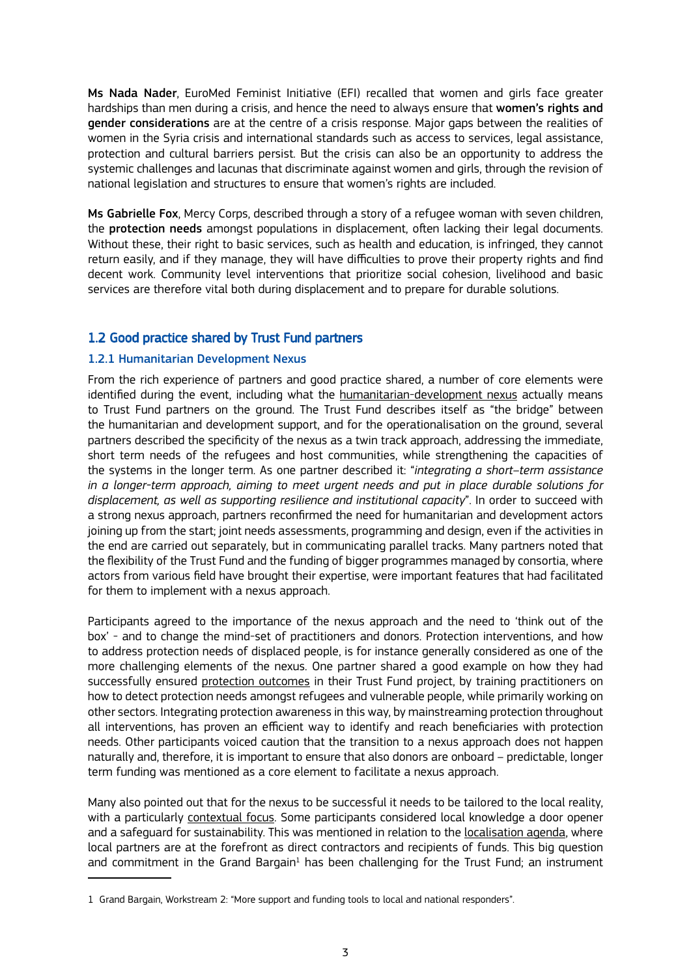Ms Nada Nader, EuroMed Feminist Initiative (EFI) recalled that women and girls face greater hardships than men during a crisis, and hence the need to always ensure that women's rights and gender considerations are at the centre of a crisis response. Major gaps between the realities of women in the Syria crisis and international standards such as access to services, legal assistance, protection and cultural barriers persist. But the crisis can also be an opportunity to address the systemic challenges and lacunas that discriminate against women and girls, through the revision of national legislation and structures to ensure that women's rights are included.

Ms Gabrielle Fox, Mercy Corps, described through a story of a refugee woman with seven children, the protection needs amongst populations in displacement, often lacking their legal documents. Without these, their right to basic services, such as health and education, is infringed, they cannot return easily, and if they manage, they will have difficulties to prove their property rights and find decent work. Community level interventions that prioritize social cohesion, livelihood and basic services are therefore vital both during displacement and to prepare for durable solutions.

## 1.2 Good practice shared by Trust Fund partners

#### 1.2.1 Humanitarian Development Nexus

From the rich experience of partners and good practice shared, a number of core elements were identified during the event, including what the humanitarian-development nexus actually means to Trust Fund partners on the ground. The Trust Fund describes itself as "the bridge" between the humanitarian and development support, and for the operationalisation on the ground, several partners described the specificity of the nexus as a twin track approach, addressing the immediate, short term needs of the refugees and host communities, while strengthening the capacities of the systems in the longer term. As one partner described it: "*integrating a short–term assistance in a longer-term approach, aiming to meet urgent needs and put in place durable solutions for displacement, as well as supporting resilience and institutional capacity*". In order to succeed with a strong nexus approach, partners reconfirmed the need for humanitarian and development actors joining up from the start; joint needs assessments, programming and design, even if the activities in the end are carried out separately, but in communicating parallel tracks. Many partners noted that the flexibility of the Trust Fund and the funding of bigger programmes managed by consortia, where actors from various field have brought their expertise, were important features that had facilitated for them to implement with a nexus approach.

Participants agreed to the importance of the nexus approach and the need to 'think out of the box' - and to change the mind-set of practitioners and donors. Protection interventions, and how to address protection needs of displaced people, is for instance generally considered as one of the more challenging elements of the nexus. One partner shared a good example on how they had successfully ensured protection outcomes in their Trust Fund project, by training practitioners on how to detect protection needs amongst refugees and vulnerable people, while primarily working on other sectors. Integrating protection awareness in this way, by mainstreaming protection throughout all interventions, has proven an efficient way to identify and reach beneficiaries with protection needs. Other participants voiced caution that the transition to a nexus approach does not happen naturally and, therefore, it is important to ensure that also donors are onboard – predictable, longer term funding was mentioned as a core element to facilitate a nexus approach.

Many also pointed out that for the nexus to be successful it needs to be tailored to the local reality, with a particularly contextual focus. Some participants considered local knowledge a door opener and a safeguard for sustainability. This was mentioned in relation to the localisation agenda, where local partners are at the forefront as direct contractors and recipients of funds. This big question and commitment in the Grand Bargain $1$  has been challenging for the Trust Fund; an instrument

<sup>1</sup> Grand Bargain, Workstream 2: "More support and funding tools to local and national responders".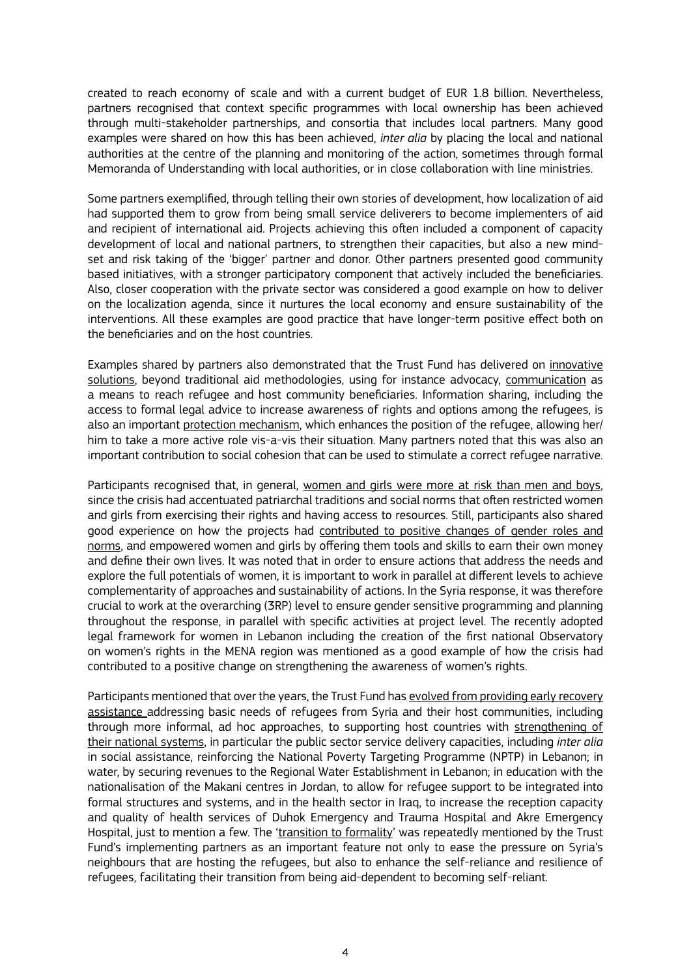created to reach economy of scale and with a current budget of EUR 1.8 billion. Nevertheless, partners recognised that context specific programmes with local ownership has been achieved through multi-stakeholder partnerships, and consortia that includes local partners. Many good examples were shared on how this has been achieved, *inter alia* by placing the local and national authorities at the centre of the planning and monitoring of the action, sometimes through formal Memoranda of Understanding with local authorities, or in close collaboration with line ministries.

Some partners exemplified, through telling their own stories of development, how localization of aid had supported them to grow from being small service deliverers to become implementers of aid and recipient of international aid. Projects achieving this often included a component of capacity development of local and national partners, to strengthen their capacities, but also a new mindset and risk taking of the 'bigger' partner and donor. Other partners presented good community based initiatives, with a stronger participatory component that actively included the beneficiaries. Also, closer cooperation with the private sector was considered a good example on how to deliver on the localization agenda, since it nurtures the local economy and ensure sustainability of the interventions. All these examples are good practice that have longer-term positive effect both on the beneficiaries and on the host countries.

Examples shared by partners also demonstrated that the Trust Fund has delivered on innovative solutions, beyond traditional aid methodologies, using for instance advocacy, communication as a means to reach refugee and host community beneficiaries. Information sharing, including the access to formal legal advice to increase awareness of rights and options among the refugees, is also an important protection mechanism, which enhances the position of the refugee, allowing her/ him to take a more active role vis-a-vis their situation. Many partners noted that this was also an important contribution to social cohesion that can be used to stimulate a correct refugee narrative.

Participants recognised that, in general, women and girls were more at risk than men and boys, since the crisis had accentuated patriarchal traditions and social norms that often restricted women and girls from exercising their rights and having access to resources. Still, participants also shared good experience on how the projects had contributed to positive changes of gender roles and norms, and empowered women and girls by offering them tools and skills to earn their own money and define their own lives. It was noted that in order to ensure actions that address the needs and explore the full potentials of women, it is important to work in parallel at different levels to achieve complementarity of approaches and sustainability of actions. In the Syria response, it was therefore crucial to work at the overarching (3RP) level to ensure gender sensitive programming and planning throughout the response, in parallel with specific activities at project level. The recently adopted legal framework for women in Lebanon including the creation of the first national Observatory on women's rights in the MENA region was mentioned as a good example of how the crisis had contributed to a positive change on strengthening the awareness of women's rights.

Participants mentioned that over the years, the Trust Fund has evolved from providing early recovery assistance addressing basic needs of refugees from Syria and their host communities, including through more informal, ad hoc approaches, to supporting host countries with strengthening of their national systems, in particular the public sector service delivery capacities, including *inter alia* in social assistance, reinforcing the National Poverty Targeting Programme (NPTP) in Lebanon; in water, by securing revenues to the Regional Water Establishment in Lebanon; in education with the nationalisation of the Makani centres in Jordan, to allow for refugee support to be integrated into formal structures and systems, and in the health sector in Iraq, to increase the reception capacity and quality of health services of Duhok Emergency and Trauma Hospital and Akre Emergency Hospital, just to mention a few. The 'transition to formality' was repeatedly mentioned by the Trust Fund's implementing partners as an important feature not only to ease the pressure on Syria's neighbours that are hosting the refugees, but also to enhance the self-reliance and resilience of refugees, facilitating their transition from being aid-dependent to becoming self-reliant.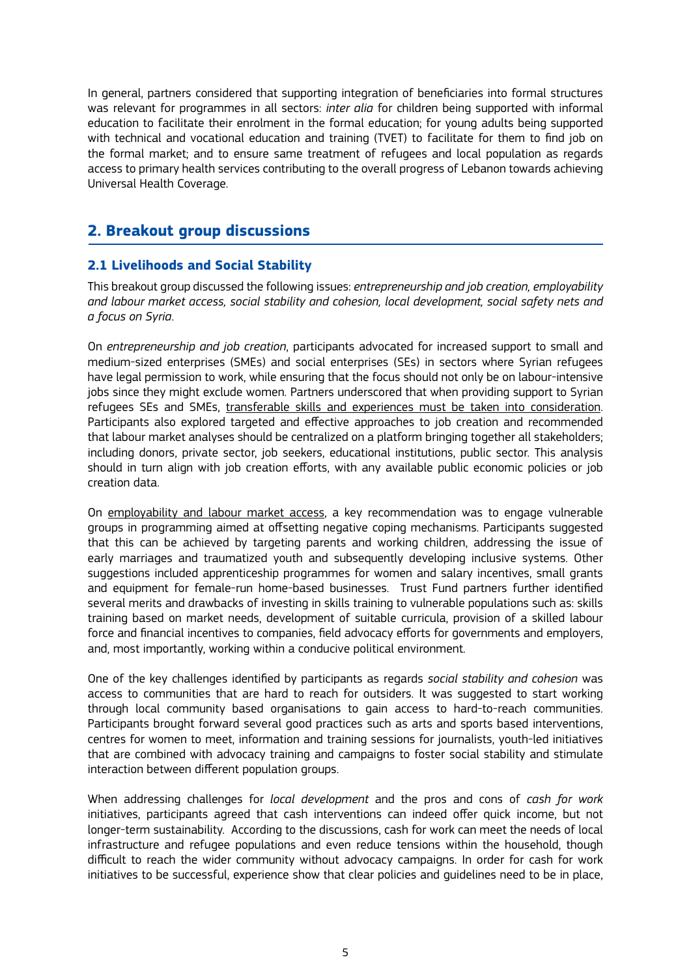In general, partners considered that supporting integration of beneficiaries into formal structures was relevant for programmes in all sectors: *inter alia* for children being supported with informal education to facilitate their enrolment in the formal education; for young adults being supported with technical and vocational education and training (TVET) to facilitate for them to find job on the formal market; and to ensure same treatment of refugees and local population as regards access to primary health services contributing to the overall progress of Lebanon towards achieving Universal Health Coverage.

## **2. Breakout group discussions**

### **2.1 Livelihoods and Social Stability**

This breakout group discussed the following issues: *entrepreneurship and job creation, employability and labour market access, social stability and cohesion, local development, social safety nets and a focus on Syria*.

On *entrepreneurship and job creation*, participants advocated for increased support to small and medium-sized enterprises (SMEs) and social enterprises (SEs) in sectors where Syrian refugees have legal permission to work, while ensuring that the focus should not only be on labour-intensive jobs since they might exclude women. Partners underscored that when providing support to Syrian refugees SEs and SMEs, transferable skills and experiences must be taken into consideration. Participants also explored targeted and effective approaches to job creation and recommended that labour market analyses should be centralized on a platform bringing together all stakeholders; including donors, private sector, job seekers, educational institutions, public sector. This analysis should in turn align with job creation efforts, with any available public economic policies or job creation data.

On employability and labour market access, a key recommendation was to engage vulnerable groups in programming aimed at offsetting negative coping mechanisms. Participants suggested that this can be achieved by targeting parents and working children, addressing the issue of early marriages and traumatized youth and subsequently developing inclusive systems. Other suggestions included apprenticeship programmes for women and salary incentives, small grants and equipment for female-run home-based businesses. Trust Fund partners further identified several merits and drawbacks of investing in skills training to vulnerable populations such as: skills training based on market needs, development of suitable curricula, provision of a skilled labour force and financial incentives to companies, field advocacy efforts for governments and employers, and, most importantly, working within a conducive political environment.

One of the key challenges identified by participants as regards *social stability and cohesion* was access to communities that are hard to reach for outsiders. It was suggested to start working through local community based organisations to gain access to hard-to-reach communities. Participants brought forward several good practices such as arts and sports based interventions, centres for women to meet, information and training sessions for journalists, youth-led initiatives that are combined with advocacy training and campaigns to foster social stability and stimulate interaction between different population groups.

When addressing challenges for *local development* and the pros and cons of *cash for work* initiatives, participants agreed that cash interventions can indeed offer quick income, but not longer-term sustainability. According to the discussions, cash for work can meet the needs of local infrastructure and refugee populations and even reduce tensions within the household, though difficult to reach the wider community without advocacy campaigns. In order for cash for work initiatives to be successful, experience show that clear policies and guidelines need to be in place,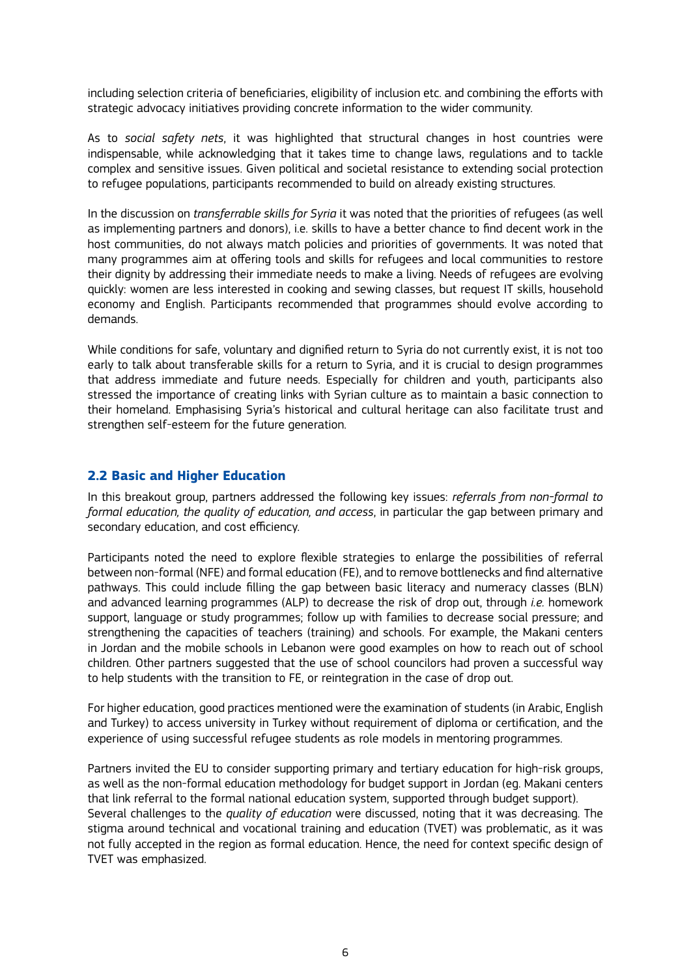including selection criteria of beneficiaries, eligibility of inclusion etc. and combining the efforts with strategic advocacy initiatives providing concrete information to the wider community.

As to *social safety nets*, it was highlighted that structural changes in host countries were indispensable, while acknowledging that it takes time to change laws, regulations and to tackle complex and sensitive issues. Given political and societal resistance to extending social protection to refugee populations, participants recommended to build on already existing structures.

In the discussion on *transferrable skills for Syria* it was noted that the priorities of refugees (as well as implementing partners and donors), i.e. skills to have a better chance to find decent work in the host communities, do not always match policies and priorities of governments. It was noted that many programmes aim at offering tools and skills for refugees and local communities to restore their dignity by addressing their immediate needs to make a living. Needs of refugees are evolving quickly: women are less interested in cooking and sewing classes, but request IT skills, household economy and English. Participants recommended that programmes should evolve according to demands.

While conditions for safe, voluntary and dignified return to Syria do not currently exist, it is not too early to talk about transferable skills for a return to Syria, and it is crucial to design programmes that address immediate and future needs. Especially for children and youth, participants also stressed the importance of creating links with Syrian culture as to maintain a basic connection to their homeland. Emphasising Syria's historical and cultural heritage can also facilitate trust and strengthen self-esteem for the future generation.

### **2.2 Basic and Higher Education**

In this breakout group, partners addressed the following key issues: *referrals from non-formal to formal education, the quality of education, and access*, in particular the gap between primary and secondary education, and cost efficiency.

Participants noted the need to explore flexible strategies to enlarge the possibilities of referral between non-formal (NFE) and formal education (FE), and to remove bottlenecks and find alternative pathways. This could include filling the gap between basic literacy and numeracy classes (BLN) and advanced learning programmes (ALP) to decrease the risk of drop out, through *i.e.* homework support, language or study programmes; follow up with families to decrease social pressure; and strengthening the capacities of teachers (training) and schools. For example, the Makani centers in Jordan and the mobile schools in Lebanon were good examples on how to reach out of school children. Other partners suggested that the use of school councilors had proven a successful way to help students with the transition to FE, or reintegration in the case of drop out.

For higher education, good practices mentioned were the examination of students (in Arabic, English and Turkey) to access university in Turkey without requirement of diploma or certification, and the experience of using successful refugee students as role models in mentoring programmes.

Partners invited the EU to consider supporting primary and tertiary education for high-risk groups, as well as the non-formal education methodology for budget support in Jordan (eg. Makani centers that link referral to the formal national education system, supported through budget support). Several challenges to the *quality of education* were discussed, noting that it was decreasing. The stigma around technical and vocational training and education (TVET) was problematic, as it was not fully accepted in the region as formal education. Hence, the need for context specific design of TVET was emphasized.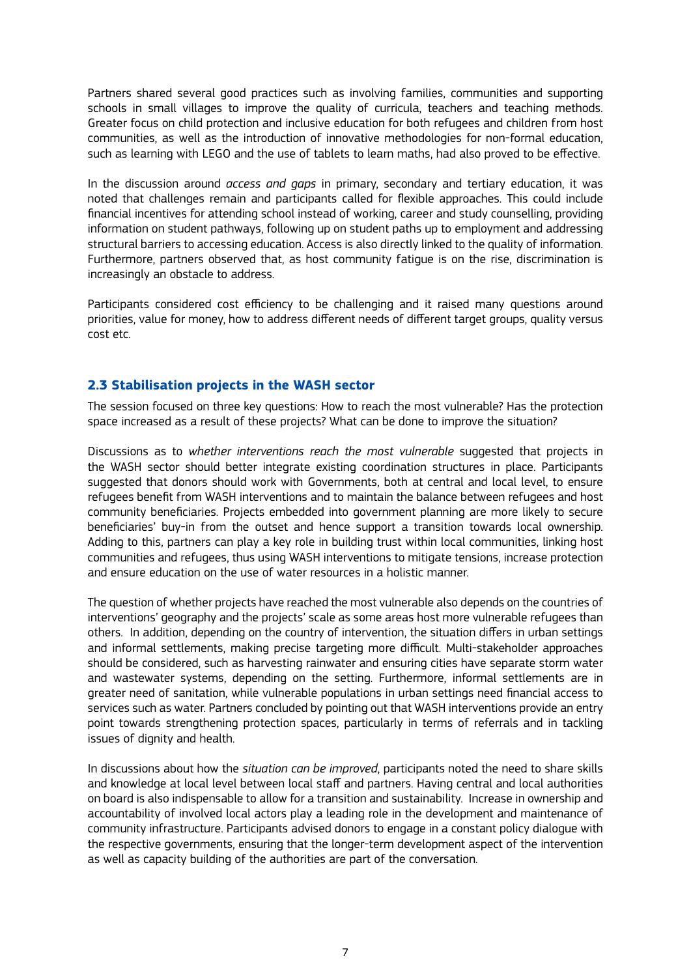Partners shared several good practices such as involving families, communities and supporting schools in small villages to improve the quality of curricula, teachers and teaching methods. Greater focus on child protection and inclusive education for both refugees and children from host communities, as well as the introduction of innovative methodologies for non-formal education, such as learning with LEGO and the use of tablets to learn maths, had also proved to be effective.

In the discussion around *access and gaps* in primary, secondary and tertiary education, it was noted that challenges remain and participants called for flexible approaches. This could include financial incentives for attending school instead of working, career and study counselling, providing information on student pathways, following up on student paths up to employment and addressing structural barriers to accessing education. Access is also directly linked to the quality of information. Furthermore, partners observed that, as host community fatigue is on the rise, discrimination is increasingly an obstacle to address.

Participants considered cost efficiency to be challenging and it raised many questions around priorities, value for money, how to address different needs of different target groups, quality versus cost etc.

### **2.3 Stabilisation projects in the WASH sector**

The session focused on three key questions: How to reach the most vulnerable? Has the protection space increased as a result of these projects? What can be done to improve the situation?

Discussions as to *whether interventions reach the most vulnerable* suggested that projects in the WASH sector should better integrate existing coordination structures in place. Participants suggested that donors should work with Governments, both at central and local level, to ensure refugees benefit from WASH interventions and to maintain the balance between refugees and host community beneficiaries. Projects embedded into government planning are more likely to secure beneficiaries' buy-in from the outset and hence support a transition towards local ownership. Adding to this, partners can play a key role in building trust within local communities, linking host communities and refugees, thus using WASH interventions to mitigate tensions, increase protection and ensure education on the use of water resources in a holistic manner.

The question of whether projects have reached the most vulnerable also depends on the countries of interventions' geography and the projects' scale as some areas host more vulnerable refugees than others. In addition, depending on the country of intervention, the situation differs in urban settings and informal settlements, making precise targeting more difficult. Multi-stakeholder approaches should be considered, such as harvesting rainwater and ensuring cities have separate storm water and wastewater systems, depending on the setting. Furthermore, informal settlements are in greater need of sanitation, while vulnerable populations in urban settings need financial access to services such as water. Partners concluded by pointing out that WASH interventions provide an entry point towards strengthening protection spaces, particularly in terms of referrals and in tackling issues of dignity and health.

In discussions about how the *situation can be improved*, participants noted the need to share skills and knowledge at local level between local staff and partners. Having central and local authorities on board is also indispensable to allow for a transition and sustainability. Increase in ownership and accountability of involved local actors play a leading role in the development and maintenance of community infrastructure. Participants advised donors to engage in a constant policy dialogue with the respective governments, ensuring that the longer-term development aspect of the intervention as well as capacity building of the authorities are part of the conversation.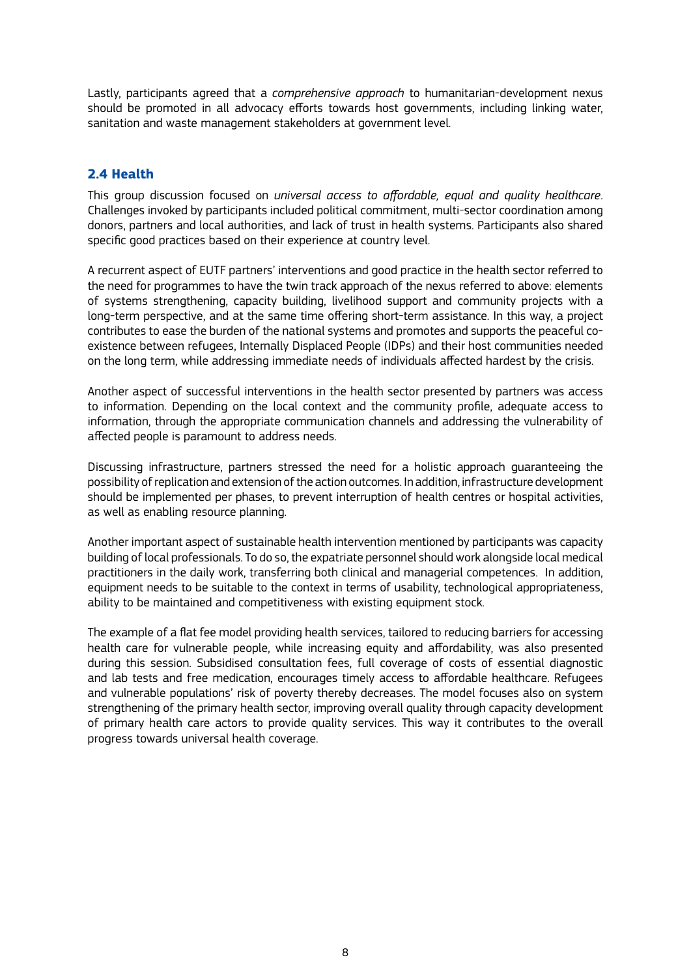Lastly, participants agreed that a *comprehensive approach* to humanitarian-development nexus should be promoted in all advocacy efforts towards host governments, including linking water, sanitation and waste management stakeholders at government level.

### **2.4 Health**

This group discussion focused on *universal access to affordable, equal and quality healthcare*. Challenges invoked by participants included political commitment, multi-sector coordination among donors, partners and local authorities, and lack of trust in health systems. Participants also shared specific good practices based on their experience at country level.

A recurrent aspect of EUTF partners' interventions and good practice in the health sector referred to the need for programmes to have the twin track approach of the nexus referred to above: elements of systems strengthening, capacity building, livelihood support and community projects with a long-term perspective, and at the same time offering short-term assistance. In this way, a project contributes to ease the burden of the national systems and promotes and supports the peaceful coexistence between refugees, Internally Displaced People (IDPs) and their host communities needed on the long term, while addressing immediate needs of individuals affected hardest by the crisis.

Another aspect of successful interventions in the health sector presented by partners was access to information. Depending on the local context and the community profile, adequate access to information, through the appropriate communication channels and addressing the vulnerability of affected people is paramount to address needs.

Discussing infrastructure, partners stressed the need for a holistic approach guaranteeing the possibility of replication and extension of the action outcomes. In addition, infrastructure development should be implemented per phases, to prevent interruption of health centres or hospital activities, as well as enabling resource planning.

Another important aspect of sustainable health intervention mentioned by participants was capacity building of local professionals. To do so, the expatriate personnel should work alongside local medical practitioners in the daily work, transferring both clinical and managerial competences. In addition, equipment needs to be suitable to the context in terms of usability, technological appropriateness, ability to be maintained and competitiveness with existing equipment stock.

The example of a flat fee model providing health services, tailored to reducing barriers for accessing health care for vulnerable people, while increasing equity and affordability, was also presented during this session. Subsidised consultation fees, full coverage of costs of essential diagnostic and lab tests and free medication, encourages timely access to affordable healthcare. Refugees and vulnerable populations' risk of poverty thereby decreases. The model focuses also on system strengthening of the primary health sector, improving overall quality through capacity development of primary health care actors to provide quality services. This way it contributes to the overall progress towards universal health coverage.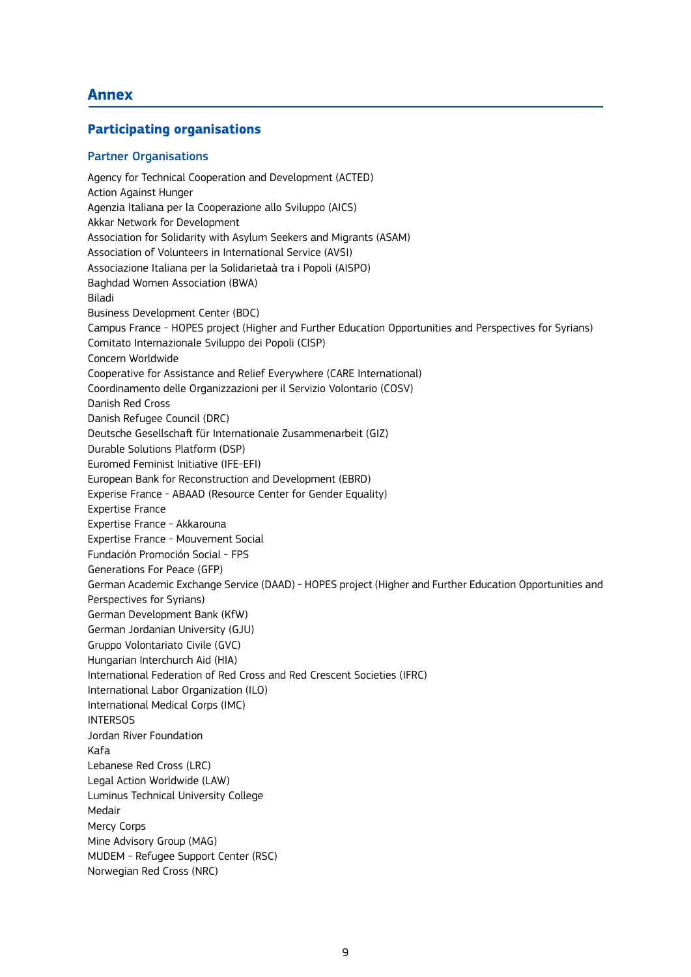## **Annex**

#### **Participating organisations**

#### Partner Organisations

Agency for Technical Cooperation and Development (ACTED) Action Against Hunger Agenzia Italiana per la Cooperazione allo Sviluppo (AICS) Akkar Network for Development Association for Solidarity with Asylum Seekers and Migrants (ASAM) Association of Volunteers in International Service (AVSI) Associazione Italiana per la Solidarietaà tra i Popoli (AISPO) Baghdad Women Association (BWA) Biladi Business Development Center (BDC) Campus France - HOPES project (Higher and Further Education Opportunities and Perspectives for Syrians) Comitato Internazionale Sviluppo dei Popoli (CISP) Concern Worldwide Cooperative for Assistance and Relief Everywhere (CARE International) Coordinamento delle Organizzazioni per il Servizio Volontario (COSV) Danish Red Cross Danish Refugee Council (DRC) Deutsche Gesellschaft für Internationale Zusammenarbeit (GIZ) Durable Solutions Platform (DSP) Euromed Feminist Initiative (IFE-EFI) European Bank for Reconstruction and Development (EBRD) Experise France - ABAAD (Resource Center for Gender Equality) Expertise France Expertise France - Akkarouna Expertise France - Mouvement Social Fundación Promoción Social - FPS Generations For Peace (GFP) German Academic Exchange Service (DAAD) - HOPES project (Higher and Further Education Opportunities and Perspectives for Syrians) German Development Bank (KfW) German Jordanian University (GJU) Gruppo Volontariato Civile (GVC) Hungarian Interchurch Aid (HIA) International Federation of Red Cross and Red Crescent Societies (IFRC) International Labor Organization (ILO) International Medical Corps (IMC) **INTERSOS** Jordan River Foundation Kafa Lebanese Red Cross (LRC) Legal Action Worldwide (LAW) Luminus Technical University College Medair Mercy Corps Mine Advisory Group (MAG) MUDEM - Refugee Support Center (RSC) Norwegian Red Cross (NRC)